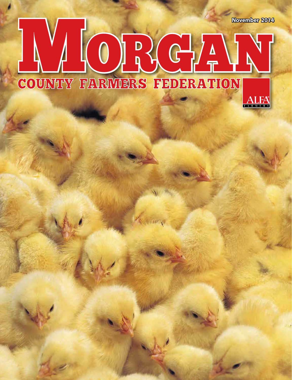**November 2014**

# **MALL** COUNTY FARMERS FEDERATION OLR G/AVY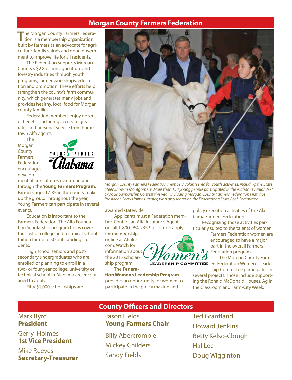#### **Morgan County Farmers Federation**

The Morgan County Farmers Federation is a membership organization built by farmers as an advocate for agriculture, family values and good government to improve life for all residents.

The Federation supports Morgan County's \$2.8 billion agriculture and forestry industries through youth programs, farmer workshops, education and promotion. These efforts help strengthen the county's farm community, which generates many jobs and provides healthy, local food for Morgan county families.

Federation members enjoy dozens of benefits including access to great rates and personal service from hometown Alfa agents.

The Morgan **County** Farmers Federation encourages develop-



ment of agriculture's next generation through the **Young Farmers Program**. Farmers ages 17-35 in the county make up the group. Throughout the year, Young Farmers can participate in several events.

Education is important to the Farmers Federation. The Alfa Foundation Scholarship program helps cover the cost of college and technical school tuition for up to 50 outstanding students.

High school seniors and postsecondary undergraduates who are enrolled or planning to enroll in a two- or four-year college, university or technical school in Alabama are encouraged to apply.

Fifty \$1,000 scholarships are



*Morgan County Farmers Federation members volunteered for youth activities, including the State Steer Show in Montgomery. More than 150 young people participated in the Alabama Junior Beef Expo Showmanship Contest this year, including Morgan County Farmers Federation First Vice President Gerry Holmes, center, who also serves on the Federation's State Beef Committee.*

awarded statewide.

Applicants must a Federation member. Contact an Alfa Insurance Agent or call 1-800-964-2352 to join. Or apply

for membership online at AlfaIns. com. Watch for information about the 2015 scholarship program. The **Federa-**

**tion Women's Leadership Program** provides an opportunity for women to participate in the policy making and

policy execution activities of the Alabama Farmers Federation. Recognizing those activities particularly suited to the talents of women,

> Farmers Federation women are encouraged to have a major part in the overall Farmers Federation program.

The Morgan County Farm-LEADERSHIP COMMITTEE ers Federation Women's Leader-

ship Committee participates in several projects. Those include support-

ing the Ronald McDonald Houses, Ag in the Classroom and Farm-City Week.

Mark Byrd **President**

Gerry Holmes **1st Vice President**

Mike Reeves **Secretary-Treasurer**

#### **County Officers and Directors**

Jason Fields **Young Farmers Chair**

Billy Abercrombie Mickey Childers Sandy Fields

Ted Grantland Howard Jenkins Betty Kelso-Clough Hal Lee Doug Wigginton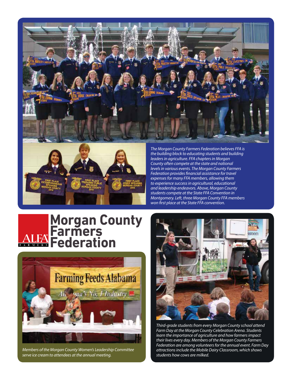



*The Morgan County Farmers Federation believes FFA is the building block to educating students and building leaders in agriculture. FFA chapters in Morgan County often compete at the state and national levels in various events. The Morgan County Farmers Federation provides financial assistance for travel expenses for many FFA members, allowing them to experience success in agricultural, educational and leadership endeavors. Above, Morgan County students compete at the State FFA Convention in Montgomery. Left, three Morgan County FFA members won first place at the State FFA convention.*

### **Morgan County Farmers Federation**



*Members of the Morgan County Women's Leadership Committee serve ice cream to attendees at the annual meeting.*



*Third-grade students from every Morgan County school attend Farm Day at the Morgan County Celebration Arena. Students learn the importance of agriculture and how farmers impact their lives every day. Members of the Morgan County Farmers Federation are among volunteers for the annual event. Farm Day attractions include the Mobile Dairy Classroom, which shows students how cows are milked.*